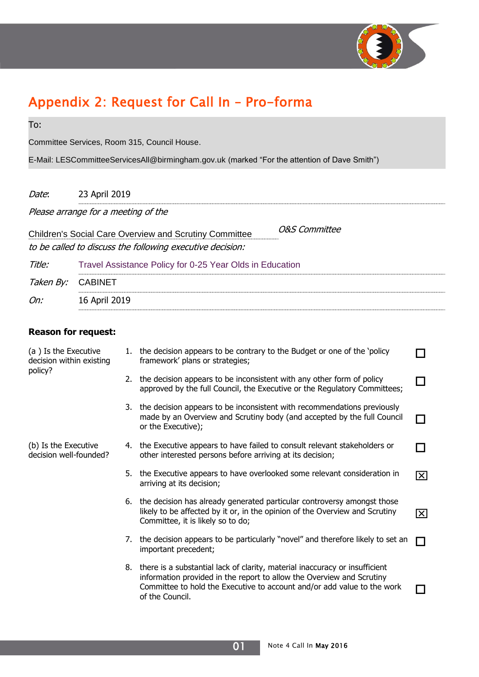

## Appendix 2: Request for Call In – Pro-forma

| To:                                                                                          |                                                          |    |                                                                                                                                                                                                                                                       |                         |  |
|----------------------------------------------------------------------------------------------|----------------------------------------------------------|----|-------------------------------------------------------------------------------------------------------------------------------------------------------------------------------------------------------------------------------------------------------|-------------------------|--|
| Committee Services, Room 315, Council House.                                                 |                                                          |    |                                                                                                                                                                                                                                                       |                         |  |
| E-Mail: LESCommitteeServicesAll@birmingham.gov.uk (marked "For the attention of Dave Smith") |                                                          |    |                                                                                                                                                                                                                                                       |                         |  |
|                                                                                              |                                                          |    |                                                                                                                                                                                                                                                       |                         |  |
| Date:                                                                                        | 23 April 2019                                            |    |                                                                                                                                                                                                                                                       |                         |  |
| Please arrange for a meeting of the                                                          |                                                          |    |                                                                                                                                                                                                                                                       |                         |  |
|                                                                                              |                                                          |    | <b>O&amp;S Committee</b><br><b>Children's Social Care Overview and Scrutiny Committee</b>                                                                                                                                                             |                         |  |
|                                                                                              |                                                          |    | to be called to discuss the following executive decision:                                                                                                                                                                                             |                         |  |
| Title:                                                                                       | Travel Assistance Policy for 0-25 Year Olds in Education |    |                                                                                                                                                                                                                                                       |                         |  |
| Taken By:                                                                                    | <b>CABINET</b>                                           |    |                                                                                                                                                                                                                                                       |                         |  |
| On:                                                                                          | 16 April 2019                                            |    |                                                                                                                                                                                                                                                       |                         |  |
|                                                                                              |                                                          |    |                                                                                                                                                                                                                                                       |                         |  |
| <b>Reason for request:</b>                                                                   |                                                          |    |                                                                                                                                                                                                                                                       |                         |  |
| (a) Is the Executive<br>decision within existing<br>policy?                                  |                                                          |    | 1. the decision appears to be contrary to the Budget or one of the 'policy<br>framework' plans or strategies;                                                                                                                                         |                         |  |
|                                                                                              |                                                          |    | 2. the decision appears to be inconsistent with any other form of policy<br>approved by the full Council, the Executive or the Regulatory Committees;                                                                                                 |                         |  |
|                                                                                              |                                                          | 3. | the decision appears to be inconsistent with recommendations previously<br>made by an Overview and Scrutiny body (and accepted by the full Council<br>or the Executive);                                                                              |                         |  |
| (b) Is the Executive<br>decision well-founded?                                               |                                                          |    | 4. the Executive appears to have failed to consult relevant stakeholders or<br>other interested persons before arriving at its decision;                                                                                                              |                         |  |
|                                                                                              |                                                          |    | 5. the Executive appears to have overlooked some relevant consideration in<br>arriving at its decision;                                                                                                                                               | $\overline{\mathsf{x}}$ |  |
|                                                                                              |                                                          |    | 6. the decision has already generated particular controversy amongst those<br>likely to be affected by it or, in the opinion of the Overview and Scrutiny<br>Committee, it is likely so to do;                                                        | $\mathsf{X}$            |  |
|                                                                                              |                                                          |    | 7. the decision appears to be particularly "novel" and therefore likely to set an<br>important precedent;                                                                                                                                             |                         |  |
|                                                                                              |                                                          |    | 8. there is a substantial lack of clarity, material inaccuracy or insufficient<br>information provided in the report to allow the Overview and Scrutiny<br>Committee to hold the Executive to account and/or add value to the work<br>of the Council. |                         |  |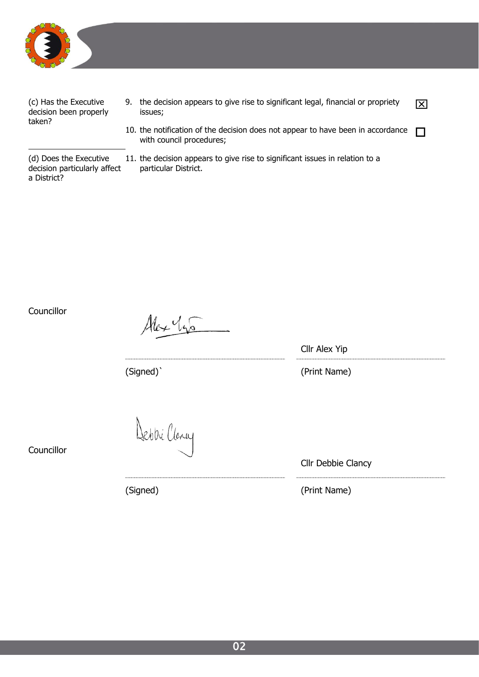

(c) Has the Executive decision been properly taken?

- 9. the decision appears to give rise to significant legal, financial or propriety  $\boxed{\times}$  issues;
- 10. the notification of the decision does not appear to have been in accordance with council procedures;

(d) Does the Executive decision particularly affect a District?

11. the decision appears to give rise to significant issues in relation to a particular District.

**Councillor** 

Alex 145

Cllr Alex Yip

(Signed)` (Print Name)

**Councillor** 

Debbillany

(Signed) (Print Name)

Cllr Debbie Clancy